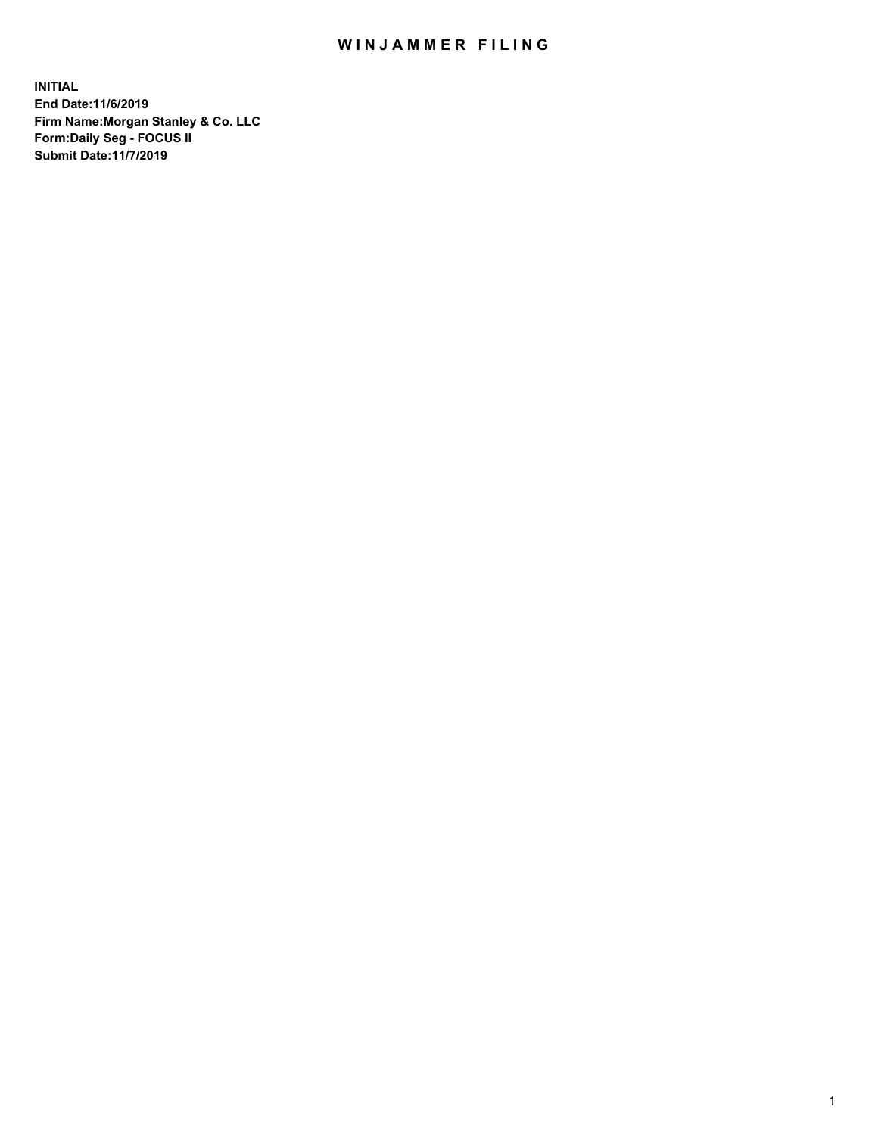## WIN JAMMER FILING

**INITIAL End Date:11/6/2019 Firm Name:Morgan Stanley & Co. LLC Form:Daily Seg - FOCUS II Submit Date:11/7/2019**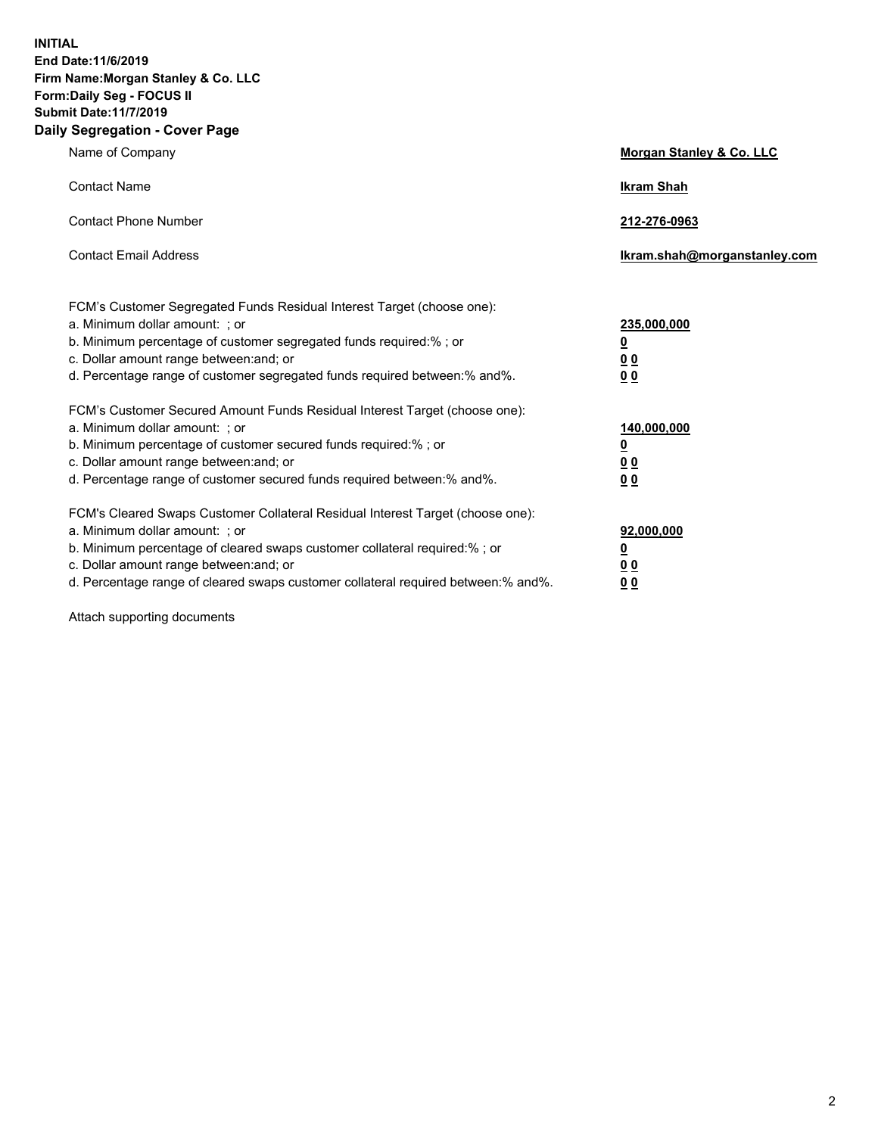**INITIAL End Date:11/6/2019 Firm Name:Morgan Stanley & Co. LLC Form:Daily Seg - FOCUS II Submit Date:11/7/2019 Daily Segregation - Cover Page**

| Name of Company                                                                                                                                                                                                                                                                                                               | Morgan Stanley & Co. LLC                                    |
|-------------------------------------------------------------------------------------------------------------------------------------------------------------------------------------------------------------------------------------------------------------------------------------------------------------------------------|-------------------------------------------------------------|
| <b>Contact Name</b>                                                                                                                                                                                                                                                                                                           | <b>Ikram Shah</b>                                           |
| <b>Contact Phone Number</b>                                                                                                                                                                                                                                                                                                   | 212-276-0963                                                |
| <b>Contact Email Address</b>                                                                                                                                                                                                                                                                                                  | Ikram.shah@morganstanley.com                                |
| FCM's Customer Segregated Funds Residual Interest Target (choose one):<br>a. Minimum dollar amount: ; or<br>b. Minimum percentage of customer segregated funds required:% ; or<br>c. Dollar amount range between: and; or<br>d. Percentage range of customer segregated funds required between:% and%.                        | 235,000,000<br><u>0</u><br><u>00</u><br>0 <sup>0</sup>      |
| FCM's Customer Secured Amount Funds Residual Interest Target (choose one):<br>a. Minimum dollar amount: ; or<br>b. Minimum percentage of customer secured funds required:%; or<br>c. Dollar amount range between: and; or<br>d. Percentage range of customer secured funds required between:% and%.                           | 140,000,000<br><u>0</u><br>0 <sub>0</sub><br>0 <sub>0</sub> |
| FCM's Cleared Swaps Customer Collateral Residual Interest Target (choose one):<br>a. Minimum dollar amount: ; or<br>b. Minimum percentage of cleared swaps customer collateral required:%; or<br>c. Dollar amount range between: and; or<br>d. Percentage range of cleared swaps customer collateral required between:% and%. | 92,000,000<br><u>0</u><br>0 Q<br>00                         |

Attach supporting documents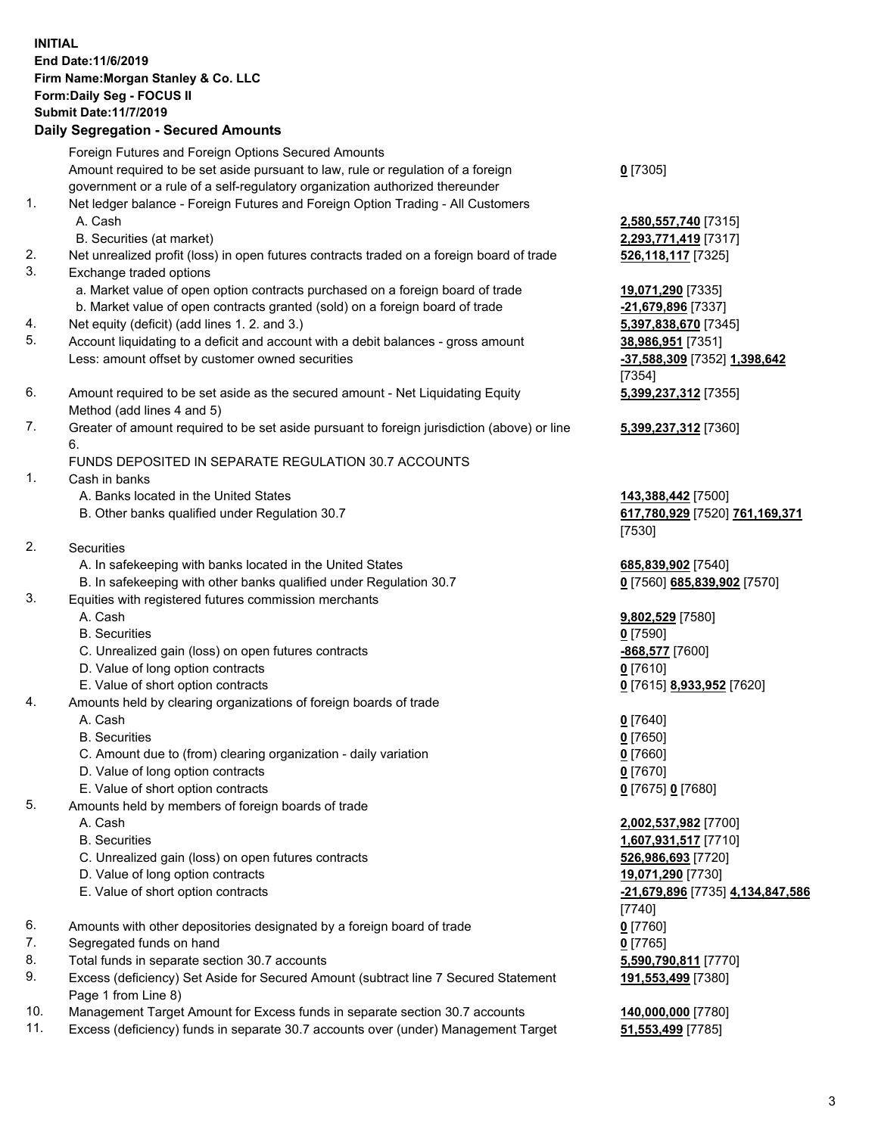## **INITIAL End Date:11/6/2019 Firm Name:Morgan Stanley & Co. LLC Form:Daily Seg - FOCUS II Submit Date:11/7/2019 Daily Segregation - Secured Amounts** Foreign Futures and Foreign Options Secured Amounts

Amount required to be set aside pursuant to law, rule or regulation of a foreign government or a rule of a self-regulatory organization authorized thereunder 1. Net ledger balance - Foreign Futures and Foreign Option Trading - All Customers A. Cash **2,580,557,740** [7315] B. Securities (at market) **2,293,771,419** [7317] 2. Net unrealized profit (loss) in open futures contracts traded on a foreign board of trade **526,118,117** [7325] 3. Exchange traded options a. Market value of open option contracts purchased on a foreign board of trade **19,071,290** [7335] b. Market value of open contracts granted (sold) on a foreign board of trade **-21,679,896** [7337] 4. Net equity (deficit) (add lines 1. 2. and 3.) **5,397,838,670** [7345] 5. Account liquidating to a deficit and account with a debit balances - gross amount **38,986,951** [7351] Less: amount offset by customer owned securities **-37,588,309** [7352] **1,398,642** 6. Amount required to be set aside as the secured amount - Net Liquidating Equity Method (add lines 4 and 5) 7. Greater of amount required to be set aside pursuant to foreign jurisdiction (above) or line 6. FUNDS DEPOSITED IN SEPARATE REGULATION 30.7 ACCOUNTS 1. Cash in banks A. Banks located in the United States **143,388,442** [7500] B. Other banks qualified under Regulation 30.7 **617,780,929** [7520] **761,169,371** 2. Securities A. In safekeeping with banks located in the United States **685,839,902** [7540] B. In safekeeping with other banks qualified under Regulation 30.7 **0** [7560] **685,839,902** [7570] 3. Equities with registered futures commission merchants A. Cash **9,802,529** [7580] B. Securities **0** [7590] C. Unrealized gain (loss) on open futures contracts **-868,577** [7600] D. Value of long option contracts **0** [7610] E. Value of short option contracts **0** [7615] **8,933,952** [7620] 4. Amounts held by clearing organizations of foreign boards of trade A. Cash **0** [7640] B. Securities **0** [7650] C. Amount due to (from) clearing organization - daily variation **0** [7660] D. Value of long option contracts **0** [7670] E. Value of short option contracts **0** [7675] **0** [7680] 5. Amounts held by members of foreign boards of trade A. Cash **2,002,537,982** [7700] B. Securities **1,607,931,517** [7710] C. Unrealized gain (loss) on open futures contracts **526,986,693** [7720] D. Value of long option contracts **19,071,290** [7730] E. Value of short option contracts **-21,679,896** [7735] **4,134,847,586**

6. Amounts with other depositories designated by a foreign board of trade **0** [7760]

- 7. Segregated funds on hand **0** [7765]
- 8. Total funds in separate section 30.7 accounts **5,590,790,811** [7770]

9. Excess (deficiency) Set Aside for Secured Amount (subtract line 7 Secured Statement Page 1 from Line 8)

10. Management Target Amount for Excess funds in separate section 30.7 accounts **140,000,000** [7780]

11. Excess (deficiency) funds in separate 30.7 accounts over (under) Management Target **51,553,499** [7785]

**0** [7305]

[7354] **5,399,237,312** [7355]

**5,399,237,312** [7360]

[7530]

[7740] **191,553,499** [7380]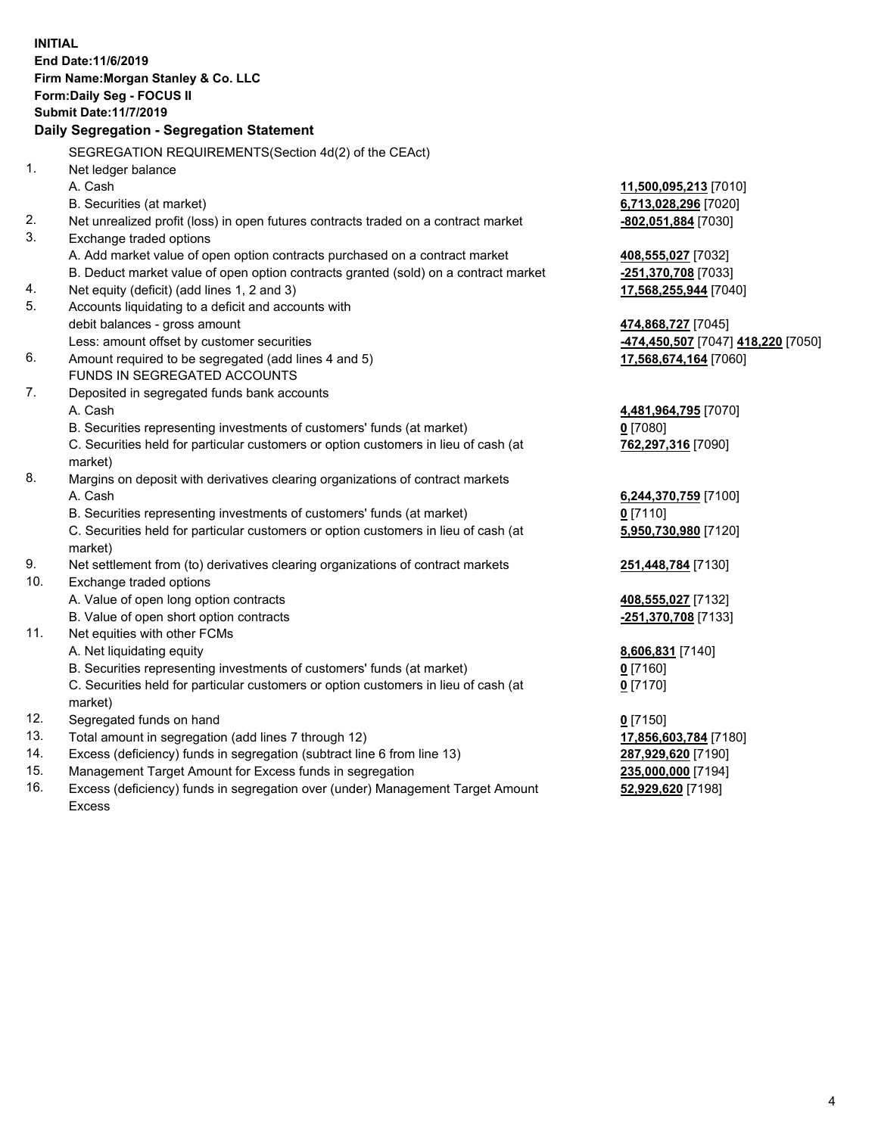**INITIAL End Date:11/6/2019 Firm Name:Morgan Stanley & Co. LLC Form:Daily Seg - FOCUS II Submit Date:11/7/2019 Daily Segregation - Segregation Statement** SEGREGATION REQUIREMENTS(Section 4d(2) of the CEAct) 1. Net ledger balance A. Cash **11,500,095,213** [7010] B. Securities (at market) **6,713,028,296** [7020] 2. Net unrealized profit (loss) in open futures contracts traded on a contract market **-802,051,884** [7030] 3. Exchange traded options A. Add market value of open option contracts purchased on a contract market **408,555,027** [7032] B. Deduct market value of open option contracts granted (sold) on a contract market **-251,370,708** [7033] 4. Net equity (deficit) (add lines 1, 2 and 3) **17,568,255,944** [7040] 5. Accounts liquidating to a deficit and accounts with debit balances - gross amount **474,868,727** [7045] Less: amount offset by customer securities **-474,450,507** [7047] **418,220** [7050] 6. Amount required to be segregated (add lines 4 and 5) **17,568,674,164** [7060] FUNDS IN SEGREGATED ACCOUNTS 7. Deposited in segregated funds bank accounts A. Cash **4,481,964,795** [7070] B. Securities representing investments of customers' funds (at market) **0** [7080] C. Securities held for particular customers or option customers in lieu of cash (at market) **762,297,316** [7090] 8. Margins on deposit with derivatives clearing organizations of contract markets A. Cash **6,244,370,759** [7100] B. Securities representing investments of customers' funds (at market) **0** [7110] C. Securities held for particular customers or option customers in lieu of cash (at market) **5,950,730,980** [7120] 9. Net settlement from (to) derivatives clearing organizations of contract markets **251,448,784** [7130] 10. Exchange traded options A. Value of open long option contracts **408,555,027** [7132] B. Value of open short option contracts **-251,370,708** [7133] 11. Net equities with other FCMs A. Net liquidating equity **8,606,831** [7140] B. Securities representing investments of customers' funds (at market) **0** [7160] C. Securities held for particular customers or option customers in lieu of cash (at market) **0** [7170] 12. Segregated funds on hand **0** [7150] 13. Total amount in segregation (add lines 7 through 12) **17,856,603,784** [7180] 14. Excess (deficiency) funds in segregation (subtract line 6 from line 13) **287,929,620** [7190] 15. Management Target Amount for Excess funds in segregation **235,000,000** [7194] 16. Excess (deficiency) funds in segregation over (under) Management Target Amount **52,929,620** [7198]

Excess